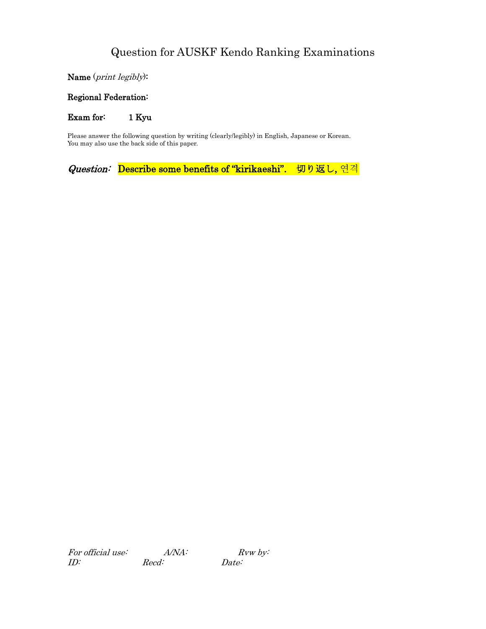Name (print legibly):

#### Regional Federation:

Exam for: 1 Kyu

Please answer the following question by writing (clearly/legibly) in English, Japanese or Korean. You may also use the back side of this paper.

Question: Describe some benefits of "kirikaeshi". 切り返し, 연격

For official use:  $A/NA$ :  $Rvw$  by: ID: Recd: Date: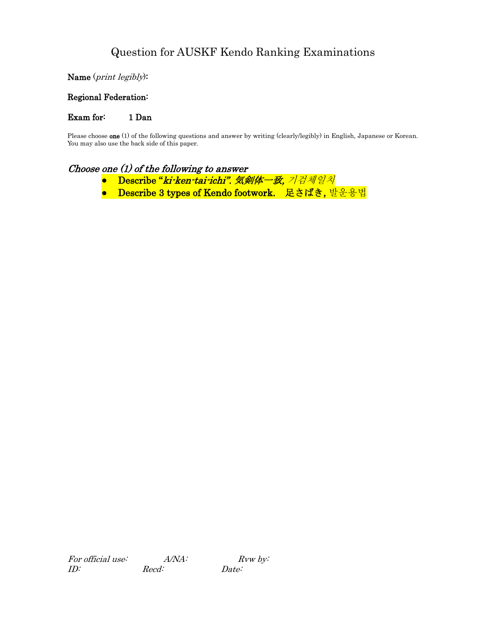Name (print legibly):

#### Regional Federation:

Exam for: 1 Dan

Please choose **one** (1) of the following questions and answer by writing (clearly/legibly) in English, Japanese or Korean. You may also use the back side of this paper.

#### Choose one (1) of the following to answer

- Describe "ki-ken-tai-ichi". 気剣体一致, 기검체일치
- Describe 3 types of Kendo footwork. 足さばき, 발운용법

For official use:  $A/NA$ : Rvw by: ID: Recd: Date: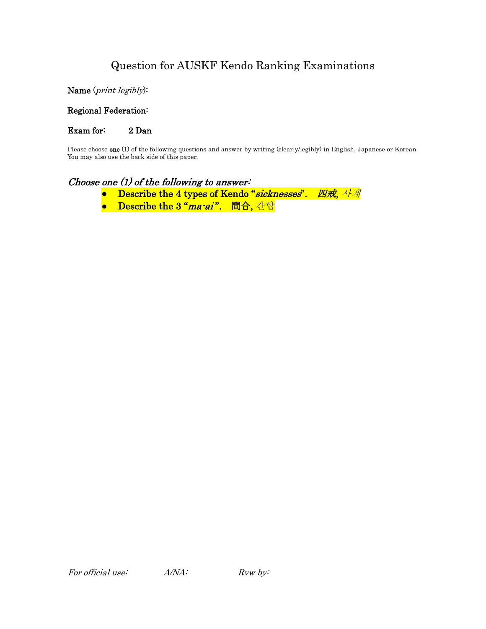Name (print legibly):

Regional Federation:

Exam for: 2 Dan

Please choose one (1) of the following questions and answer by writing (clearly/legibly) in English, Japanese or Korean. You may also use the back side of this paper.

## Choose one (1) of the following to answer:

- Describe the 4 types of Kendo "sicknesses". 四戒, 사계
- Describe the 3 "ma-ai". 間合, 간합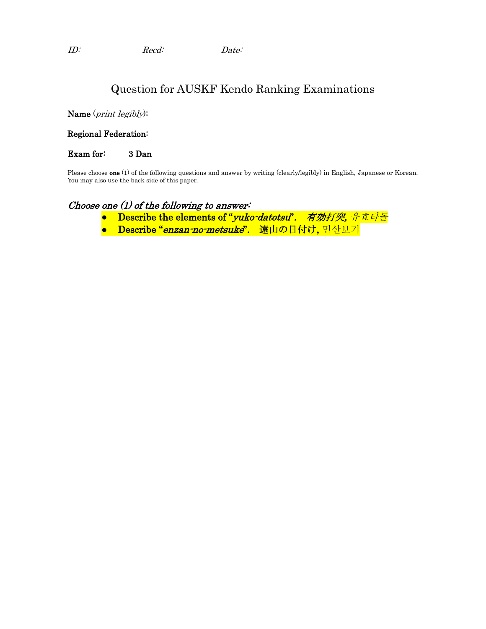Name (print legibly):

#### Regional Federation:

#### Exam for: 3 Dan

Please choose **one** (1) of the following questions and answer by writing (clearly/legibly) in English, Japanese or Korean. You may also use the back side of this paper.

## Choose one (1) of the following to answer:

- Describe the elements of "*yuko-datotsu". 有効打突, 유효타돌*
- Describe "enzan-no-metsuke". 遠山の目付け, 먼산보기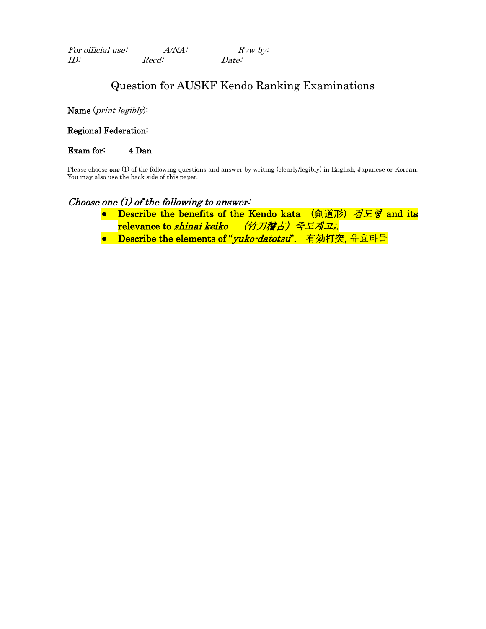| For official use: | $A/NA$ : | $Rvw$ by: |
|-------------------|----------|-----------|
| ID:               | Recd:    | Date:     |

Name (print legibly):

Regional Federation:

Exam for: 4 Dan

Please choose **one** (1) of the following questions and answer by writing (clearly/legibly) in English, Japanese or Korean. You may also use the back side of this paper.

#### Choose one  $(1)$  of the following to answer:

- Describe the benefits of the Kendo kata (剣道形) 검도형 and its relevance to shinai keiko (竹刀稽古) 죽도계고;
- Describe the elements of "vuko-datotsu". 有効打突, 유효타돌